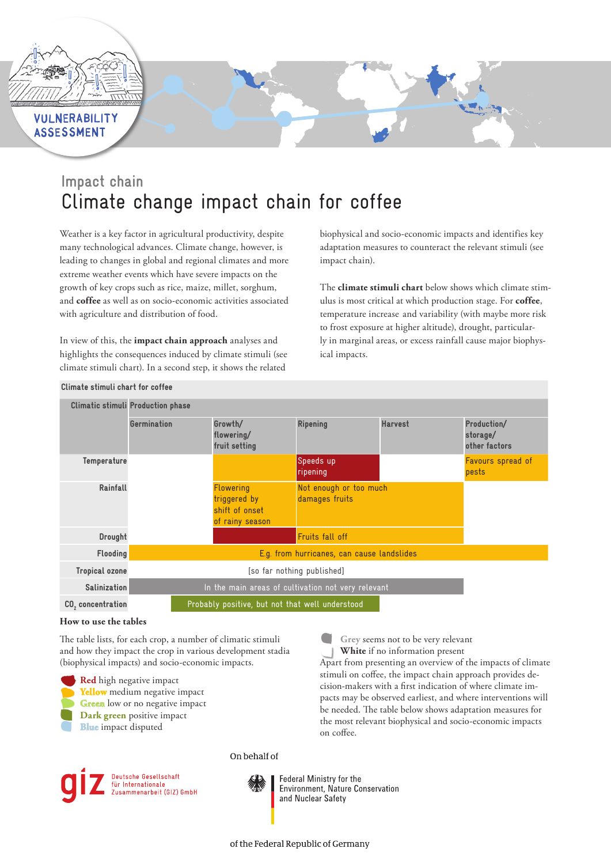

# **ASSESSMENT**

# **Impact chain** Climate change impact chain for coffee

Weather is a key factor in agricultural productivity, despite many technological advances. Climate change, however, is leading to changes in global and regional climates and more extreme weather events which have severe impacts on the growth of key crops such as rice, maize, millet, sorghum, and **coffee** as well as on socio-economic activities associated with agriculture and distribution of food.

In view of this, the **impact chain approach** analyses and highlights the consequences induced by climate stimuli (see climate stimuli chart). In a second step, it shows the related

biophysical and socio-economic impacts and identifies key adaptation measures to counteract the relevant stimuli (see impact chain).

The **climate stimuli chart** below shows which climate stimulus is most critical at which production stage. For **coffee**, temperature increase and variability (with maybe more risk to frost exposure at higher altitude), drought, particularly in marginal areas, or excess rainfall cause major biophysical impacts.

**Grey** seems not to be very relevant **White** if no information present

Apart from presenting an overview of the impacts of climate stimuli on coffee, the impact chain approach provides decision-makers with a first indication of where climate impacts may be observed earliest, and where interventions will be needed. The table below shows adaptation measures for the most relevant biophysical and socio-economic impacts

|                               | <b>Climatic stimuli Production phase</b>           |                                                                       |                                          |                |                         |  |
|-------------------------------|----------------------------------------------------|-----------------------------------------------------------------------|------------------------------------------|----------------|-------------------------|--|
|                               | Germination                                        | Growth/<br>flowering/                                                 | <b>Ripening</b>                          | <b>Harvest</b> | Production/<br>storage/ |  |
|                               |                                                    | fruit setting                                                         |                                          |                | other factors           |  |
| Temperature                   |                                                    |                                                                       | Speeds up                                |                | Favours spread of       |  |
|                               |                                                    |                                                                       | ripening                                 |                | pests                   |  |
| Rainfall                      |                                                    | <b>Flowering</b><br>triggered by<br>shift of onset<br>of rainy season | Not enough or too much<br>damages fruits |                |                         |  |
| Drought                       |                                                    |                                                                       | Fruits fall off                          |                |                         |  |
| <b>Flooding</b>               |                                                    | E.g. from hurricanes, can cause landslides                            |                                          |                |                         |  |
| <b>Tropical ozone</b>         | [so far nothing published]                         |                                                                       |                                          |                |                         |  |
| <b>Salinization</b>           | In the main areas of cultivation not very relevant |                                                                       |                                          |                |                         |  |
| CO <sub>2</sub> concentration | Probably positive, but not that well understood    |                                                                       |                                          |                |                         |  |

## Climate stimuli chart for coffee

### **How to use the tables**

The table lists, for each crop, a number of climatic stimuli and how they impact the crop in various development stadia (biophysical impacts) and socio-economic impacts.

**Red** high negative impact **Yellow** medium negative impact **Green** low or no negative impact

- **Dark green** positive impact
- **Blue** impact disputed

Deutsche Gesellschaft für Internationale<br>Zusammenarbeit (GIZ) GmbH On behalf of



Federal Ministry for the Environment, Nature Conservation and Nuclear Safety

on coffee.